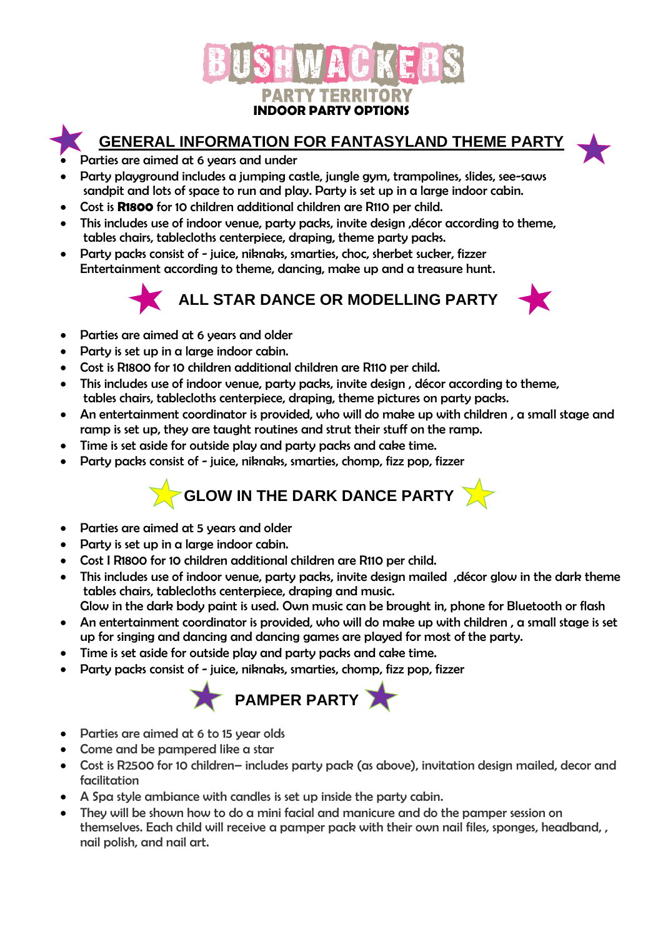



## **GENERAL INFORMATION FOR FANTASYLAND THEME PARTY**

- Parties are aimed at 6 years and under
- Party playground includes a jumping castle, jungle gym, trampolines, slides, see-saws sandpit and lots of space to run and play. Party is set up in a large indoor cabin.
- Cost is **R1800** for 10 children additional children are R110 per child.
- This includes use of indoor venue, party packs, invite design, décor according to theme, tables chairs, tablecloths centerpiece, draping, theme party packs.
- Party packs consist of juice, niknaks, smarties, choc, sherbet sucker, fizzer Entertainment according to theme, dancing, make up and a treasure hunt.

 **ALL STAR DANCE OR MODELLING PARTY**



- Parties are aimed at 6 years and older
- Party is set up in a large indoor cabin.
- Cost is R1800 for 10 children additional children are R110 per child.
- This includes use of indoor venue, party packs, invite design , décor according to theme, tables chairs, tablecloths centerpiece, draping, theme pictures on party packs.
- An entertainment coordinator is provided, who will do make up with children , a small stage and ramp is set up, they are taught routines and strut their stuff on the ramp.
- Time is set aside for outside play and party packs and cake time.
- Party packs consist of juice, niknaks, smarties, chomp, fizz pop, fizzer

# **GLOW IN THE DARK DANCE PARTY**

- Parties are aimed at 5 years and older
- Party is set up in a large indoor cabin.
- Cost I R1800 for 10 children additional children are R110 per child.
- This includes use of indoor venue, party packs, invite design mailed , décor glow in the dark theme tables chairs, tablecloths centerpiece, draping and music.
- Glow in the dark body paint is used. Own music can be brought in, phone for Bluetooth or flash
- An entertainment coordinator is provided, who will do make up with children , a small stage is set up for singing and dancing and dancing games are played for most of the party.
- Time is set aside for outside play and party packs and cake time.
- Party packs consist of juice, niknaks, smarties, chomp, fizz pop, fizzer



- Parties are aimed at 6 to 15 year olds
- Come and be pampered like a star
- Cost is R2500 for 10 children– includes party pack (as above), invitation design mailed, decor and facilitation
- A Spa style ambiance with candles is set up inside the party cabin.
- They will be shown how to do a mini facial and manicure and do the pamper session on themselves. Each child will receive a pamper pack with their own nail files, sponges, headband, , nail polish, and nail art.